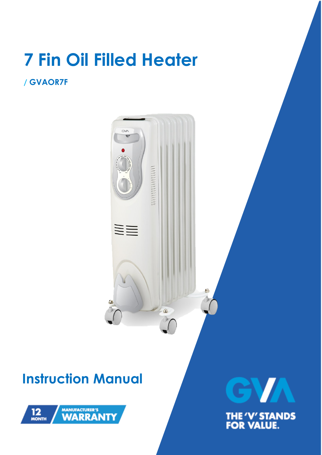# **7 Fin Oil Filled Heater**

### **/ GVAOR7F**

 $G M$ **NII** P.  $\triangle$ 

## **Instruction Manual**



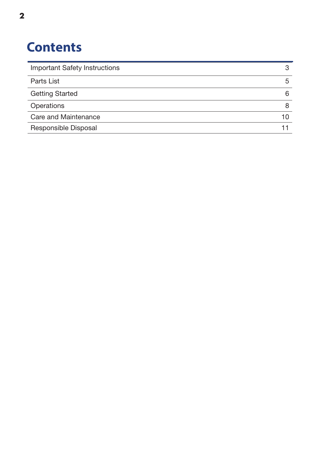### **Contents**

| <b>Important Safety Instructions</b> |    |
|--------------------------------------|----|
| Parts List                           | 5  |
| <b>Getting Started</b>               | 6  |
| Operations                           |    |
| Care and Maintenance                 | 10 |
| Responsible Disposal                 |    |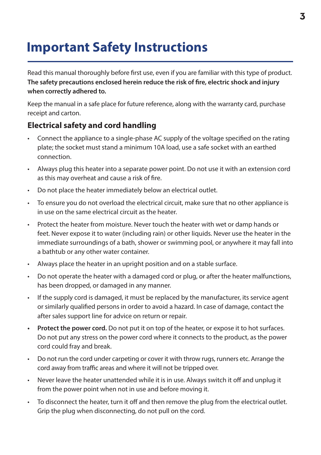### **Important Safety Instructions**

Read this manual thoroughly before first use, even if you are familiar with this type of product. **The safety precautions enclosed herein reduce the risk of fire, electric shock and injury when correctly adhered to.**

Keep the manual in a safe place for future reference, along with the warranty card, purchase receipt and carton.

#### **Electrical safety and cord handling**

- Connect the appliance to a single-phase AC supply of the voltage specified on the rating plate; the socket must stand a minimum 10A load, use a safe socket with an earthed connection.
- Always plug this heater into a separate power point. Do not use it with an extension cord as this may overheat and cause a risk of fire.
- Do not place the heater immediately below an electrical outlet.
- To ensure you do not overload the electrical circuit, make sure that no other appliance is in use on the same electrical circuit as the heater.
- Protect the heater from moisture. Never touch the heater with wet or damp hands or feet. Never expose it to water (including rain) or other liquids. Never use the heater in the immediate surroundings of a bath, shower or swimming pool, or anywhere it may fall into a bathtub or any other water container.
- Always place the heater in an upright position and on a stable surface.
- Do not operate the heater with a damaged cord or plug, or after the heater malfunctions, has been dropped, or damaged in any manner.
- If the supply cord is damaged, it must be replaced by the manufacturer, its service agent or similarly qualified persons in order to avoid a hazard. In case of damage, contact the after sales support line for advice on return or repair.
- **• Protect the power cord.** Do not put it on top of the heater, or expose it to hot surfaces. Do not put any stress on the power cord where it connects to the product, as the power cord could fray and break.
- Do not run the cord under carpeting or cover it with throw rugs, runners etc. Arrange the cord away from traffic areas and where it will not be tripped over.
- Never leave the heater unattended while it is in use. Always switch it off and unplug it from the power point when not in use and before moving it.
- To disconnect the heater, turn it off and then remove the plug from the electrical outlet. Grip the plug when disconnecting, do not pull on the cord.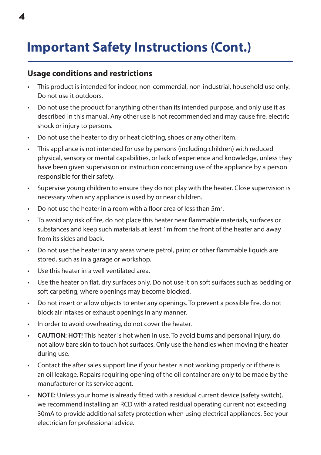### **Important Safety Instructions (Cont.)**

#### **Usage conditions and restrictions**

- This product is intended for indoor, non-commercial, non-industrial, household use only. Do not use it outdoors.
- Do not use the product for anything other than its intended purpose, and only use it as described in this manual. Any other use is not recommended and may cause fire, electric shock or injury to persons.
- Do not use the heater to dry or heat clothing, shoes or any other item.
- This appliance is not intended for use by persons (including children) with reduced physical, sensory or mental capabilities, or lack of experience and knowledge, unless they have been given supervision or instruction concerning use of the appliance by a person responsible for their safety.
- Supervise young children to ensure they do not play with the heater. Close supervision is necessary when any appliance is used by or near children.
- Do not use the heater in a room with a floor area of less than  $5m^2$ .
- To avoid any risk of fire, do not place this heater near flammable materials, surfaces or substances and keep such materials at least 1m from the front of the heater and away from its sides and back.
- Do not use the heater in any areas where petrol, paint or other flammable liquids are stored, such as in a garage or workshop.
- Use this heater in a well ventilated area.
- Use the heater on flat, dry surfaces only. Do not use it on soft surfaces such as bedding or soft carpeting, where openings may become blocked.
- Do not insert or allow objects to enter any openings. To prevent a possible fire, do not block air intakes or exhaust openings in any manner.
- In order to avoid overheating, do not cover the heater.
- **• CAUTION: HOT!** This heater is hot when in use. To avoid burns and personal injury, do not allow bare skin to touch hot surfaces. Only use the handles when moving the heater during use.
- Contact the after sales support line if your heater is not working properly or if there is an oil leakage. Repairs requiring opening of the oil container are only to be made by the manufacturer or its service agent.
- **• NOTE:** Unless your home is already fitted with a residual current device (safety switch), we recommend installing an RCD with a rated residual operating current not exceeding 30mA to provide additional safety protection when using electrical appliances. See your electrician for professional advice.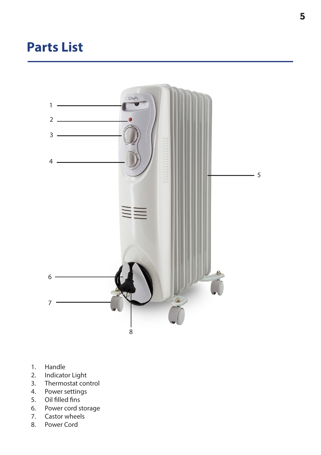### **Parts List**



- 1. Handle
- 2. Indicator Light<br>3. Thermostat cor
- 3. Thermostat control<br>4. Power settings
- Power settings
- 5. Oil filled fins
- 6. Power cord storage
- 7. Castor wheels
- 8. Power Cord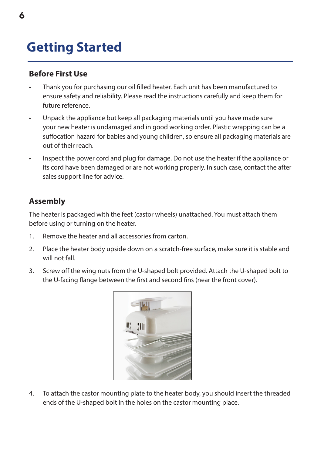### **Getting Started**

#### **Before First Use**

- Thank you for purchasing our oil filled heater. Each unit has been manufactured to ensure safety and reliability. Please read the instructions carefully and keep them for future reference.
- Unpack the appliance but keep all packaging materials until you have made sure your new heater is undamaged and in good working order. Plastic wrapping can be a suffocation hazard for babies and young children, so ensure all packaging materials are out of their reach.
- Inspect the power cord and plug for damage. Do not use the heater if the appliance or its cord have been damaged or are not working properly. In such case, contact the after sales support line for advice.

#### **Assembly**

The heater is packaged with the feet (castor wheels) unattached. You must attach them before using or turning on the heater.

- 1. Remove the heater and all accessories from carton.
- 2. Place the heater body upside down on a scratch-free surface, make sure it is stable and will not fall.
- 3. Screw off the wing nuts from the U-shaped bolt provided. Attach the U-shaped bolt to the U-facing flange between the first and second fins (near the front cover).



4. To attach the castor mounting plate to the heater body, you should insert the threaded ends of the U-shaped bolt in the holes on the castor mounting place.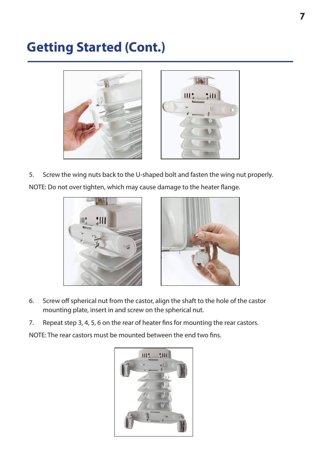### **Getting Started (Cont.)**





5. Screw the wing nuts back to the U-shaped bolt and fasten the wing nut properly. NOTE: Do not over tighten, which may cause damage to the heater flange.





- 6. Screw off spherical nut from the castor, align the shaft to the hole of the castor mounting plate, insert in and screw on the spherical nut.
- 7. Repeat step 3, 4, 5, 6 on the rear of heater fins for mounting the rear castors.

NOTE: The rear castors must be mounted between the end two fins.

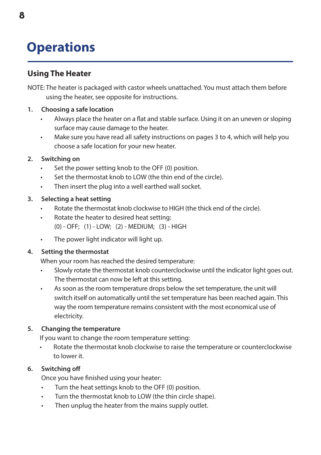### **Operations**

#### **Using The Heater**

NOTE: The heater is packaged with castor wheels unattached. You must attach them before using the heater, see opposite for instructions.

#### **1. Choosing a safe location**

- Always place the heater on a flat and stable surface. Using it on an uneven or sloping surface may cause damage to the heater.
- Make sure you have read all safety instructions on pages 3 to 4, which will help you choose a safe location for your new heater.

#### **2. Switching on**

- Set the power setting knob to the OFF (0) position.
- Set the thermostat knob to LOW (the thin end of the circle).
- Then insert the plug into a well earthed wall socket.

#### **3. Selecting a heat setting**

- Rotate the thermostat knob clockwise to HIGH (the thick end of the circle).
- Rotate the heater to desired heat setting: (0) - OFF; (1) - LOW; (2) - MEDIUM; (3) - HIGH
- The power light indicator will light up.

#### **4. Setting the thermostat**

When your room has reached the desired temperature:

- Slowly rotate the thermostat knob counterclockwise until the indicator light goes out. The thermostat can now be left at this setting.
- As soon as the room temperature drops below the set temperature, the unit will switch itself on automatically until the set temperature has been reached again. This way the room temperature remains consistent with the most economical use of electricity.

#### **5. Changing the temperature**

If you want to change the room temperature setting:

• Rotate the thermostat knob clockwise to raise the temperature or counterclockwise to lower it.

#### **6. Switching off**

Once you have finished using your heater:

- Turn the heat settings knob to the OFF (0) position.
- Turn the thermostat knob to LOW (the thin circle shape).
- Then unplug the heater from the mains supply outlet.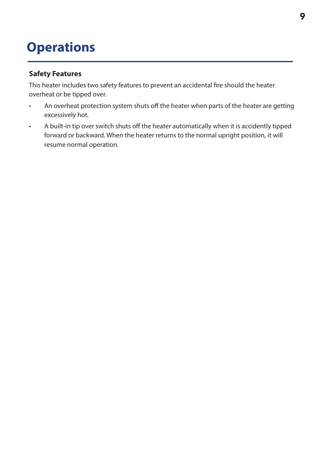### **Operations**

#### **Safety Features**

This heater includes two safety features to prevent an accidental fire should the heater overheat or be tipped over.

- An overheat protection system shuts off the heater when parts of the heater are getting excessively hot.
- A built-in tip over switch shuts off the heater automatically when it is accidently tipped forward or backward. When the heater returns to the normal upright position, it will resume normal operation.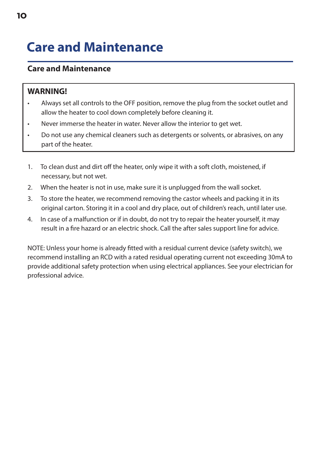### **Care and Maintenance**

#### **Care and Maintenance**

#### **WARNING!**

- Always set all controls to the OFF position, remove the plug from the socket outlet and allow the heater to cool down completely before cleaning it.
- Never immerse the heater in water. Never allow the interior to get wet.
- Do not use any chemical cleaners such as detergents or solvents, or abrasives, on any part of the heater.
- 1. To clean dust and dirt off the heater, only wipe it with a soft cloth, moistened, if necessary, but not wet.
- 2. When the heater is not in use, make sure it is unplugged from the wall socket.
- 3. To store the heater, we recommend removing the castor wheels and packing it in its original carton. Storing it in a cool and dry place, out of children's reach, until later use.
- 4. In case of a malfunction or if in doubt, do not try to repair the heater yourself, it may result in a fire hazard or an electric shock. Call the after sales support line for advice.

NOTE: Unless your home is already fitted with a residual current device (safety switch), we recommend installing an RCD with a rated residual operating current not exceeding 30mA to provide additional safety protection when using electrical appliances. See your electrician for professional advice.